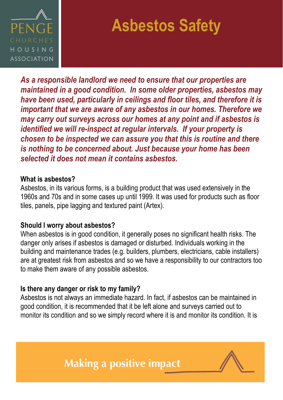

# **Asbestos Safety**

*As a responsible landlord we need to ensure that our properties are maintained in a good condition. In some older properties, asbestos may have been used, particularly in ceilings and floor tiles, and therefore it is important that we are aware of any asbestos in our homes. Therefore we may carry out surveys across our homes at any point and if asbestos is identified we will re-inspect at regular intervals. If your property is chosen to be inspected we can assure you that this is routine and there is nothing to be concerned about. Just because your home has been selected it does not mean it contains asbestos.* 

#### **What is asbestos?**

Asbestos, in its various forms, is a building product that was used extensively in the 1960s and 70s and in some cases up until 1999. It was used for products such as floor tiles, panels, pipe lagging and textured paint (Artex).

#### **Should I worry about asbestos?**

When asbestos is in good condition, it generally poses no significant health risks. The danger only arises if asbestos is damaged or disturbed. Individuals working in the building and maintenance trades (e.g. builders, plumbers, electricians, cable installers) are at greatest risk from asbestos and so we have a responsibility to our contractors too to make them aware of any possible asbestos.

## **Is there any danger or risk to my family?**

Asbestos is not always an immediate hazard. In fact, if asbestos can be maintained in good condition, it is recommended that it be left alone and surveys carried out to monitor its condition and so we simply record where it is and monitor its condition. It is